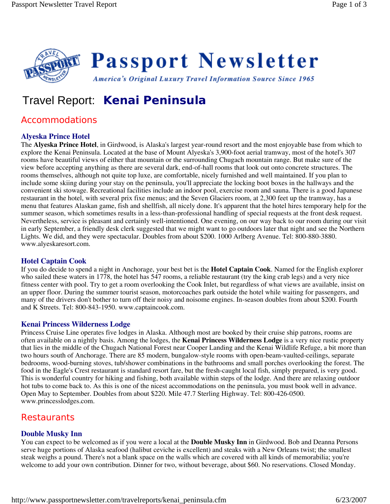

# Travel Report: **Kenai Peninsula**

# Accommodations

### **Alyeska Prince Hotel**

The **Alyeska Prince Hotel**, in Girdwood, is Alaska's largest year-round resort and the most enjoyable base from which to explore the Kenai Peninsula. Located at the base of Mount Alyeska's 3,900-foot aerial tramway, most of the hotel's 307 rooms have beautiful views of either that mountain or the surrounding Chugach mountain range. But make sure of the view before accepting anything as there are several dark, end-of-hall rooms that look out onto concrete structures. The rooms themselves, although not quite top luxe, are comfortable, nicely furnished and well maintained. If you plan to include some skiing during your stay on the peninsula, you'll appreciate the locking boot boxes in the hallways and the convenient ski stowage. Recreational facilities include an indoor pool, exercise room and sauna. There is a good Japanese restaurant in the hotel, with several prix fixe menus; and the Seven Glaciers room, at 2,300 feet up the tramway, has a menu that features Alaskan game, fish and shellfish, all nicely done. It's apparent that the hotel hires temporary help for the summer season, which sometimes results in a less-than-professional handling of special requests at the front desk request. Nevertheless, service is pleasant and certainly well-intentioned. One evening, on our way back to our room during our visit in early September, a friendly desk clerk suggested that we might want to go outdoors later that night and see the Northern Lights. We did, and they were spectacular. Doubles from about \$200. 1000 Arlberg Avenue. Tel: 800-880-3880. www.alyeskaresort.com.

### **Hotel Captain Cook**

If you do decide to spend a night in Anchorage, your best bet is the **Hotel Captain Cook**. Named for the English explorer who sailed these waters in 1778, the hotel has 547 rooms, a reliable restaurant (try the king crab legs) and a very nice fitness center with pool. Try to get a room overlooking the Cook Inlet, but regardless of what views are available, insist on an upper floor. During the summer tourist season, motorcoaches park outside the hotel while waiting for passengers, and many of the drivers don't bother to turn off their noisy and noisome engines. In-season doubles from about \$200. Fourth and K Streets. Tel: 800-843-1950. www.captaincook.com.

#### **Kenai Princess Wilderness Lodge**

Princess Cruise Line operates five lodges in Alaska. Although most are booked by their cruise ship patrons, rooms are often available on a nightly basis. Among the lodges, the **Kenai Princess Wilderness Lodge** is a very nice rustic property that lies in the middle of the Chugach National Forest near Cooper Landing and the Kenai Wildlife Refuge, a bit more than two hours south of Anchorage. There are 85 modern, bungalow-style rooms with open-beam-vaulted-ceilings, separate bedrooms, wood-burning stoves, tub/shower combinations in the bathrooms and small porches overlooking the forest. The food in the Eagle's Crest restaurant is standard resort fare, but the fresh-caught local fish, simply prepared, is very good. This is wonderful country for hiking and fishing, both available within steps of the lodge. And there are relaxing outdoor hot tubs to come back to. As this is one of the nicest accommodations on the peninsula, you must book well in advance. Open May to September. Doubles from about \$220. Mile 47.7 Sterling Highway. Tel: 800-426-0500. www.princesslodges.com.

## **Restaurants**

#### **Double Musky Inn**

You can expect to be welcomed as if you were a local at the **Double Musky Inn** in Girdwood. Bob and Deanna Persons serve huge portions of Alaska seafood (halibut ceviche is excellent) and steaks with a New Orleans twist; the smallest steak weighs a pound. There's not a blank space on the walls which are covered with all kinds of memorabilia; you're welcome to add your own contribution. Dinner for two, without beverage, about \$60. No reservations. Closed Monday.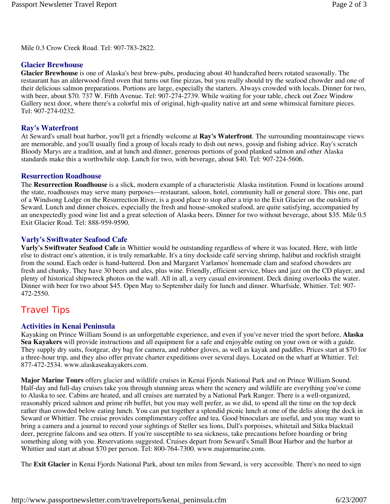Mile 0.3 Crow Creek Road. Tel: 907-783-2822.

#### **Glacier Brewhouse**

**Glacier Brewhouse** is one of Alaska's best brew-pubs, producing about 40 handcrafted beers rotated seasonally. The restaurant has an alderwood-fired oven that turns out fine pizzas, but you really should try the seafood chowder and one of their delicious salmon preparations. Portions are large, especially the starters. Always crowded with locals. Dinner for two, with beer, about \$70. 737 W. Fifth Avenue. Tel: 907-274-2739. While waiting for your table, check out Zoez Window Gallery next door, where there's a colorful mix of original, high-quality native art and some whimsical furniture pieces. Tel: 907-274-0232.

#### **Ray's Waterfront**

At Seward's small boat harbor, you'll get a friendly welcome at **Ray's Waterfront**. The surrounding mountainscape views are memorable, and you'll usually find a group of locals ready to dish out news, gossip and fishing advice. Ray's scratch Bloody Marys are a tradition, and at lunch and dinner, generous portions of good planked salmon and other Alaska standards make this a worthwhile stop. Lunch for two, with beverage, about \$40. Tel: 907-224-5606.

#### **Resurrection Roadhouse**

The **Resurrection Roadhouse** is a slick, modern example of a characteristic Alaska institution. Found in locations around the state, roadhouses may serve many purposes—restaurant, saloon, hotel, community hall or general store. This one, part of a Windsong Lodge on the Resurrection River, is a good place to stop after a trip to the Exit Glacier on the outskirts of Seward. Lunch and dinner choices, especially the fresh and house-smoked seafood, are quite satisfying, accompanied by an unexpectedly good wine list and a great selection of Alaska beers. Dinner for two without beverage, about \$35. Mile 0.5 Exit Glacier Road. Tel: 888-959-9590.

#### **Varly's Swiftwater Seafood Cafe**

**Varly's Swiftwater Seafood Cafe** in Whittier would be outstanding regardless of where it was located. Here, with little else to distract one's attention, it is truly remarkable. It's a tiny dockside café serving shrimp, halibut and rockfish straight from the sound. Each order is hand-battered. Don and Margaret Varlamos' homemade clam and seafood chowders are fresh and chunky. They have 30 beers and ales, plus wine. Friendly, efficient service, blues and jazz on the CD player, and plenty of historical shipwreck photos on the wall. All in all, a very casual environment. Deck dining overlooks the water. Dinner with beer for two about \$45. Open May to September daily for lunch and dinner. Wharfside, Whittier. Tel: 907- 472-2550.

## Travel Tips

#### **Activities in Kenai Peninsula**

Kayaking on Prince William Sound is an unforgettable experience, and even if you've never tried the sport before, **Alaska Sea Kayakers** will provide instructions and all equipment for a safe and enjoyable outing on your own or with a guide. They supply dry suits, footgear, dry bag for camera, and rubber gloves, as well as kayak and paddles. Prices start at \$70 for a three-hour trip, and they also offer private charter expeditions over several days. Located on the wharf at Whittier. Tel: 877-472-2534. www.alaskaseakayakers.com.

**Major Marine Tours** offers glacier and wildlife cruises in Kenai Fjords National Park and on Prince William Sound. Half-day and full-day cruises take you through stunning areas where the scenery and wildlife are everything you've come to Alaska to see. Cabins are heated, and all cruises are narrated by a National Park Ranger. There is a well-organized, reasonably priced salmon and prime rib buffet, but you may well prefer, as we did, to spend all the time on the top deck rather than crowded below eating lunch. You can put together a splendid picnic lunch at one of the delis along the dock in Seward or Whittier. The cruise provides complimentary coffee and tea. Good binoculars are useful, and you may want to bring a camera and a journal to record your sightings of Steller sea lions, Dall's porpoises, whitetail and Sitka blacktail deer, peregrine falcons and sea otters. If you're susceptible to sea sickness, take precautions before boarding or bring something along with you. Reservations suggested. Cruises depart from Seward's Small Boat Harbor and the harbor at Whittier and start at about \$70 per person. Tel: 800-764-7300. www.majormarine.com.

The **Exit Glacier** in Kenai Fjords National Park, about ten miles from Seward, is very accessible. There's no need to sign